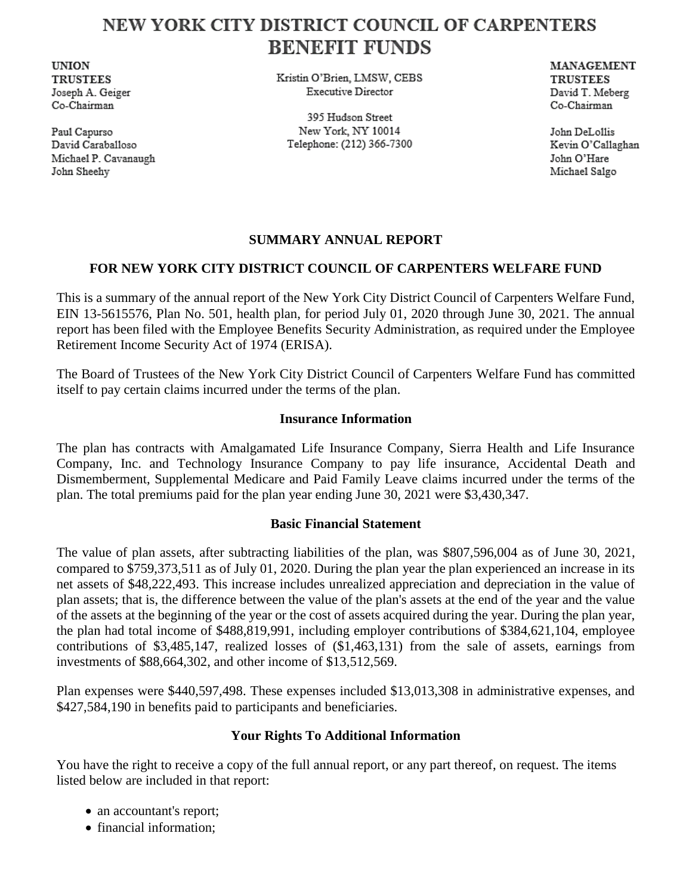# NEW YORK CITY DISTRICT COUNCIL OF CARPENTERS **BENEFIT FUNDS**

**UNION TRUSTEES** Joseph A. Geiger Co-Chairman

Paul Capurso David Caraballoso Michael P. Cavanaugh John Sheehy

Kristin O'Brien, LMSW, CEBS **Executive Director** 

395 Hudson Street New York, NY 10014 Telephone: (212) 366-7300 **MANAGEMENT TRUSTEES** David T. Meberg Co-Chairman

John DeLollis Kevin O'Callaghan John O'Hare Michael Salgo

### **SUMMARY ANNUAL REPORT**

## **FOR NEW YORK CITY DISTRICT COUNCIL OF CARPENTERS WELFARE FUND**

This is a summary of the annual report of the New York City District Council of Carpenters Welfare Fund, EIN 13-5615576, Plan No. 501, health plan, for period July 01, 2020 through June 30, 2021. The annual report has been filed with the Employee Benefits Security Administration, as required under the Employee Retirement Income Security Act of 1974 (ERISA).

The Board of Trustees of the New York City District Council of Carpenters Welfare Fund has committed itself to pay certain claims incurred under the terms of the plan.

#### **Insurance Information**

The plan has contracts with Amalgamated Life Insurance Company, Sierra Health and Life Insurance Company, Inc. and Technology Insurance Company to pay life insurance, Accidental Death and Dismemberment, Supplemental Medicare and Paid Family Leave claims incurred under the terms of the plan. The total premiums paid for the plan year ending June 30, 2021 were \$3,430,347.

#### **Basic Financial Statement**

The value of plan assets, after subtracting liabilities of the plan, was \$807,596,004 as of June 30, 2021, compared to \$759,373,511 as of July 01, 2020. During the plan year the plan experienced an increase in its net assets of \$48,222,493. This increase includes unrealized appreciation and depreciation in the value of plan assets; that is, the difference between the value of the plan's assets at the end of the year and the value of the assets at the beginning of the year or the cost of assets acquired during the year. During the plan year, the plan had total income of \$488,819,991, including employer contributions of \$384,621,104, employee contributions of \$3,485,147, realized losses of (\$1,463,131) from the sale of assets, earnings from investments of \$88,664,302, and other income of \$13,512,569.

Plan expenses were \$440,597,498. These expenses included \$13,013,308 in administrative expenses, and \$427,584,190 in benefits paid to participants and beneficiaries.

#### **Your Rights To Additional Information**

You have the right to receive a copy of the full annual report, or any part thereof, on request. The items listed below are included in that report:

- an accountant's report;
- financial information;